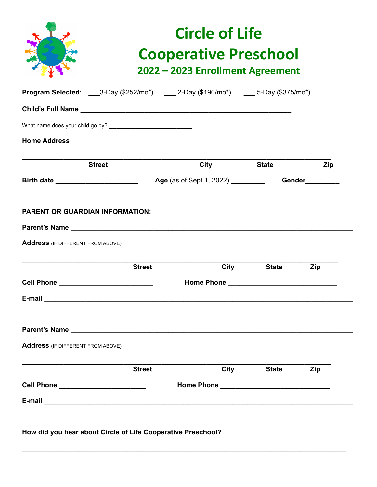|                                                                                                               | <b>Circle of Life</b><br><b>Cooperative Preschool</b><br>2022 - 2023 Enrollment Agreement |                                              |              |                             |
|---------------------------------------------------------------------------------------------------------------|-------------------------------------------------------------------------------------------|----------------------------------------------|--------------|-----------------------------|
| Program Selected: ____3-Day (\$252/mo*) ____ 2-Day (\$190/mo*) ____ 5-Day (\$375/mo*)                         |                                                                                           |                                              |              |                             |
|                                                                                                               |                                                                                           |                                              |              |                             |
|                                                                                                               |                                                                                           |                                              |              |                             |
| <b>Home Address</b>                                                                                           |                                                                                           |                                              |              |                             |
| <b>Street</b>                                                                                                 |                                                                                           | <b>City</b>                                  | <b>State</b> | Zip                         |
|                                                                                                               |                                                                                           |                                              |              | <b>Gender Communication</b> |
| <b>Address</b> (IF DIFFERENT FROM ABOVE)                                                                      | <b>Street</b>                                                                             | City                                         | <b>State</b> | Zip                         |
| <b>Cell Phone Cell Phone</b>                                                                                  |                                                                                           |                                              |              |                             |
| E-mail 2008 2009 2009 2009 2009 2010 2021 2022 2023 2024 2022 2023 2024 2022 2023 2024 2022 2023 2024 2025 20 |                                                                                           |                                              |              |                             |
|                                                                                                               |                                                                                           |                                              |              |                             |
| <b>Address</b> (IF DIFFERENT FROM ABOVE)                                                                      |                                                                                           |                                              |              |                             |
|                                                                                                               | <b>Street</b>                                                                             | City                                         | <b>State</b> | <b>Zip</b>                  |
|                                                                                                               |                                                                                           | Home Phone Lawrence Management Communication |              |                             |
| Cell Phone ________________________                                                                           |                                                                                           |                                              |              |                             |

**\_\_\_\_\_\_\_\_\_\_\_\_\_\_\_\_\_\_\_\_\_\_\_\_\_\_\_\_\_\_\_\_\_\_\_\_\_\_\_\_\_\_\_\_\_\_\_\_\_\_\_\_\_\_\_\_\_\_\_\_\_\_\_\_\_\_\_\_\_\_\_\_\_\_\_\_\_\_\_\_\_\_\_\_\_\_**

**How did you hear about Circle of Life Cooperative Preschool?**